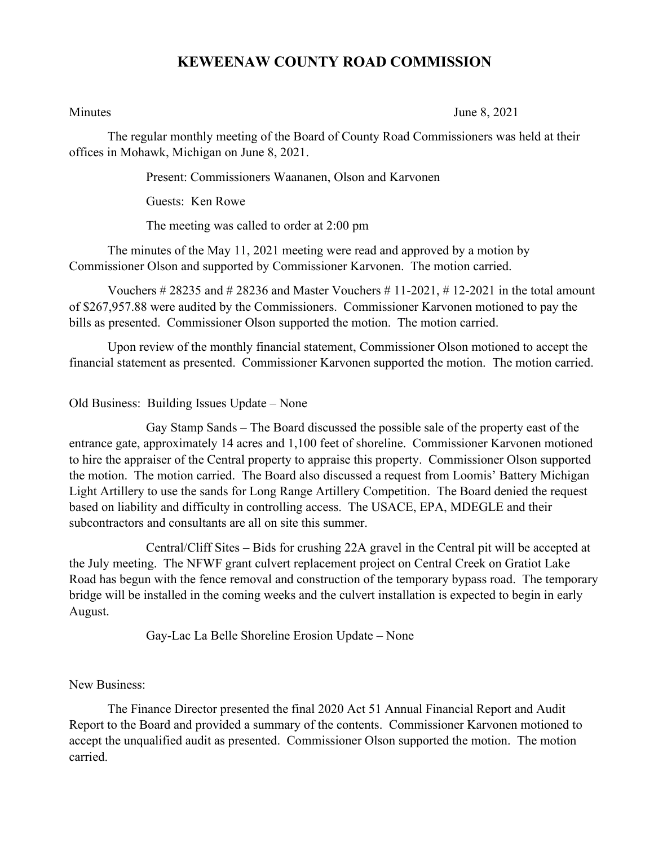## **KEWEENAW COUNTY ROAD COMMISSION**

Minutes June 8, 2021

The regular monthly meeting of the Board of County Road Commissioners was held at their offices in Mohawk, Michigan on June 8, 2021.

Present: Commissioners Waananen, Olson and Karvonen

Guests: Ken Rowe

The meeting was called to order at 2:00 pm

The minutes of the May 11, 2021 meeting were read and approved by a motion by Commissioner Olson and supported by Commissioner Karvonen. The motion carried.

Vouchers  $\# 28235$  and  $\# 28236$  and Master Vouchers  $\# 11-2021$ ,  $\# 12-2021$  in the total amount of \$267,957.88 were audited by the Commissioners. Commissioner Karvonen motioned to pay the bills as presented. Commissioner Olson supported the motion. The motion carried.

Upon review of the monthly financial statement, Commissioner Olson motioned to accept the financial statement as presented. Commissioner Karvonen supported the motion. The motion carried.

Old Business: Building Issues Update – None

Gay Stamp Sands – The Board discussed the possible sale of the property east of the entrance gate, approximately 14 acres and 1,100 feet of shoreline. Commissioner Karvonen motioned to hire the appraiser of the Central property to appraise this property. Commissioner Olson supported the motion. The motion carried. The Board also discussed a request from Loomis' Battery Michigan Light Artillery to use the sands for Long Range Artillery Competition. The Board denied the request based on liability and difficulty in controlling access. The USACE, EPA, MDEGLE and their subcontractors and consultants are all on site this summer.

Central/Cliff Sites – Bids for crushing 22A gravel in the Central pit will be accepted at the July meeting. The NFWF grant culvert replacement project on Central Creek on Gratiot Lake Road has begun with the fence removal and construction of the temporary bypass road. The temporary bridge will be installed in the coming weeks and the culvert installation is expected to begin in early August.

Gay-Lac La Belle Shoreline Erosion Update – None

New Business:

The Finance Director presented the final 2020 Act 51 Annual Financial Report and Audit Report to the Board and provided a summary of the contents. Commissioner Karvonen motioned to accept the unqualified audit as presented. Commissioner Olson supported the motion. The motion carried.